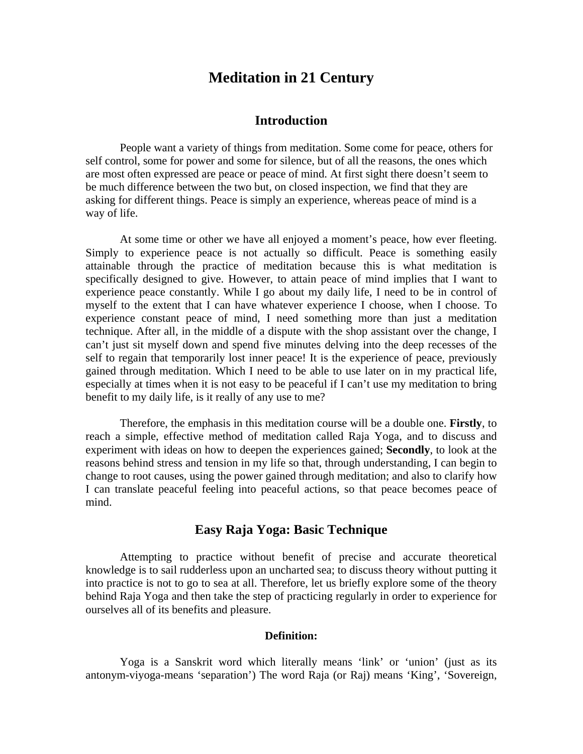# **Meditation in 21 Century**

## **Introduction**

People want a variety of things from meditation. Some come for peace, others for self control, some for power and some for silence, but of all the reasons, the ones which are most often expressed are peace or peace of mind. At first sight there doesn't seem to be much difference between the two but, on closed inspection, we find that they are asking for different things. Peace is simply an experience, whereas peace of mind is a way of life.

At some time or other we have all enjoyed a moment's peace, how ever fleeting. Simply to experience peace is not actually so difficult. Peace is something easily attainable through the practice of meditation because this is what meditation is specifically designed to give. However, to attain peace of mind implies that I want to experience peace constantly. While I go about my daily life, I need to be in control of myself to the extent that I can have whatever experience I choose, when I choose. To experience constant peace of mind, I need something more than just a meditation technique. After all, in the middle of a dispute with the shop assistant over the change, I can't just sit myself down and spend five minutes delving into the deep recesses of the self to regain that temporarily lost inner peace! It is the experience of peace, previously gained through meditation. Which I need to be able to use later on in my practical life, especially at times when it is not easy to be peaceful if I can't use my meditation to bring benefit to my daily life, is it really of any use to me?

Therefore, the emphasis in this meditation course will be a double one. **Firstly**, to reach a simple, effective method of meditation called Raja Yoga, and to discuss and experiment with ideas on how to deepen the experiences gained; **Secondly**, to look at the reasons behind stress and tension in my life so that, through understanding, I can begin to change to root causes, using the power gained through meditation; and also to clarify how I can translate peaceful feeling into peaceful actions, so that peace becomes peace of mind.

## **Easy Raja Yoga: Basic Technique**

Attempting to practice without benefit of precise and accurate theoretical knowledge is to sail rudderless upon an uncharted sea; to discuss theory without putting it into practice is not to go to sea at all. Therefore, let us briefly explore some of the theory behind Raja Yoga and then take the step of practicing regularly in order to experience for ourselves all of its benefits and pleasure.

## **Definition:**

Yoga is a Sanskrit word which literally means 'link' or 'union' (just as its antonym-viyoga-means 'separation') The word Raja (or Raj) means 'King', 'Sovereign,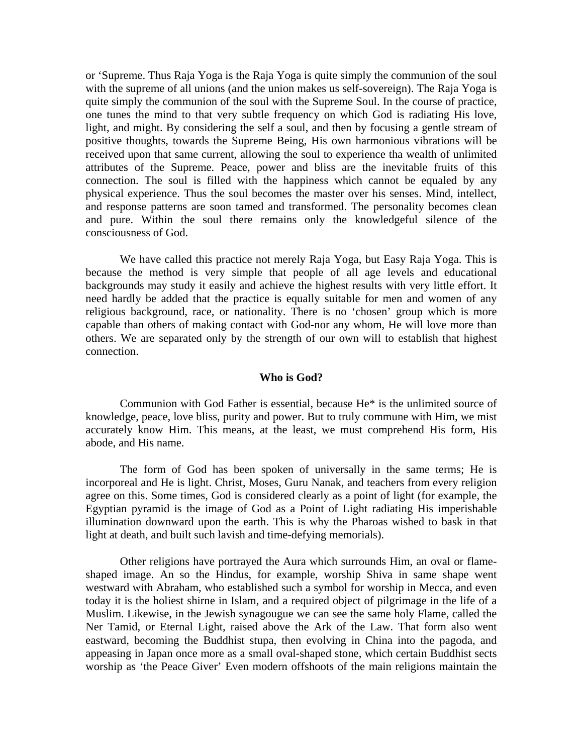or 'Supreme. Thus Raja Yoga is the Raja Yoga is quite simply the communion of the soul with the supreme of all unions (and the union makes us self-sovereign). The Raja Yoga is quite simply the communion of the soul with the Supreme Soul. In the course of practice, one tunes the mind to that very subtle frequency on which God is radiating His love, light, and might. By considering the self a soul, and then by focusing a gentle stream of positive thoughts, towards the Supreme Being, His own harmonious vibrations will be received upon that same current, allowing the soul to experience tha wealth of unlimited attributes of the Supreme. Peace, power and bliss are the inevitable fruits of this connection. The soul is filled with the happiness which cannot be equaled by any physical experience. Thus the soul becomes the master over his senses. Mind, intellect, and response patterns are soon tamed and transformed. The personality becomes clean and pure. Within the soul there remains only the knowledgeful silence of the consciousness of God.

We have called this practice not merely Raja Yoga, but Easy Raja Yoga. This is because the method is very simple that people of all age levels and educational backgrounds may study it easily and achieve the highest results with very little effort. It need hardly be added that the practice is equally suitable for men and women of any religious background, race, or nationality. There is no 'chosen' group which is more capable than others of making contact with God-nor any whom, He will love more than others. We are separated only by the strength of our own will to establish that highest connection.

#### **Who is God?**

Communion with God Father is essential, because He\* is the unlimited source of knowledge, peace, love bliss, purity and power. But to truly commune with Him, we mist accurately know Him. This means, at the least, we must comprehend His form, His abode, and His name.

The form of God has been spoken of universally in the same terms; He is incorporeal and He is light. Christ, Moses, Guru Nanak, and teachers from every religion agree on this. Some times, God is considered clearly as a point of light (for example, the Egyptian pyramid is the image of God as a Point of Light radiating His imperishable illumination downward upon the earth. This is why the Pharoas wished to bask in that light at death, and built such lavish and time-defying memorials).

Other religions have portrayed the Aura which surrounds Him, an oval or flameshaped image. An so the Hindus, for example, worship Shiva in same shape went westward with Abraham, who established such a symbol for worship in Mecca, and even today it is the holiest shirne in Islam, and a required object of pilgrimage in the life of a Muslim. Likewise, in the Jewish synagougue we can see the same holy Flame, called the Ner Tamid, or Eternal Light, raised above the Ark of the Law. That form also went eastward, becoming the Buddhist stupa, then evolving in China into the pagoda, and appeasing in Japan once more as a small oval-shaped stone, which certain Buddhist sects worship as 'the Peace Giver' Even modern offshoots of the main religions maintain the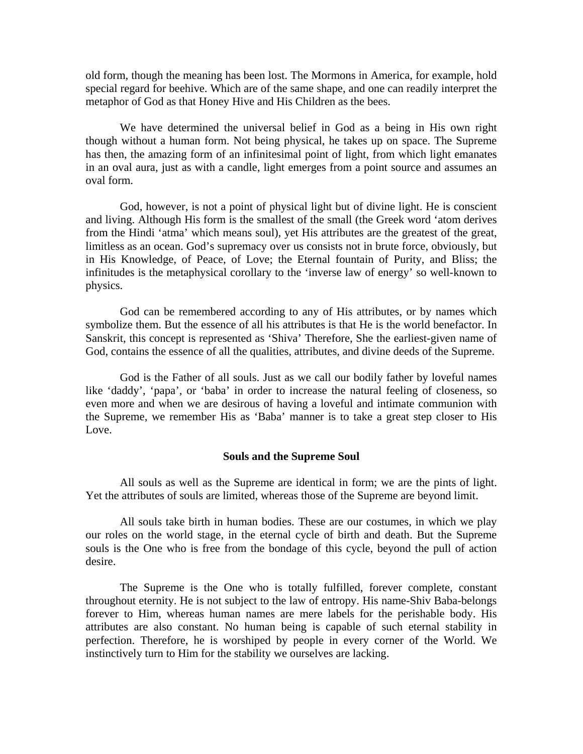old form, though the meaning has been lost. The Mormons in America, for example, hold special regard for beehive. Which are of the same shape, and one can readily interpret the metaphor of God as that Honey Hive and His Children as the bees.

We have determined the universal belief in God as a being in His own right though without a human form. Not being physical, he takes up on space. The Supreme has then, the amazing form of an infinitesimal point of light, from which light emanates in an oval aura, just as with a candle, light emerges from a point source and assumes an oval form.

God, however, is not a point of physical light but of divine light. He is conscient and living. Although His form is the smallest of the small (the Greek word 'atom derives from the Hindi 'atma' which means soul), yet His attributes are the greatest of the great, limitless as an ocean. God's supremacy over us consists not in brute force, obviously, but in His Knowledge, of Peace, of Love; the Eternal fountain of Purity, and Bliss; the infinitudes is the metaphysical corollary to the 'inverse law of energy' so well-known to physics.

God can be remembered according to any of His attributes, or by names which symbolize them. But the essence of all his attributes is that He is the world benefactor. In Sanskrit, this concept is represented as 'Shiva' Therefore, She the earliest-given name of God, contains the essence of all the qualities, attributes, and divine deeds of the Supreme.

God is the Father of all souls. Just as we call our bodily father by loveful names like 'daddy', 'papa', or 'baba' in order to increase the natural feeling of closeness, so even more and when we are desirous of having a loveful and intimate communion with the Supreme, we remember His as 'Baba' manner is to take a great step closer to His Love.

#### **Souls and the Supreme Soul**

All souls as well as the Supreme are identical in form; we are the pints of light. Yet the attributes of souls are limited, whereas those of the Supreme are beyond limit.

All souls take birth in human bodies. These are our costumes, in which we play our roles on the world stage, in the eternal cycle of birth and death. But the Supreme souls is the One who is free from the bondage of this cycle, beyond the pull of action desire.

The Supreme is the One who is totally fulfilled, forever complete, constant throughout eternity. He is not subject to the law of entropy. His name-Shiv Baba-belongs forever to Him, whereas human names are mere labels for the perishable body. His attributes are also constant. No human being is capable of such eternal stability in perfection. Therefore, he is worshiped by people in every corner of the World. We instinctively turn to Him for the stability we ourselves are lacking.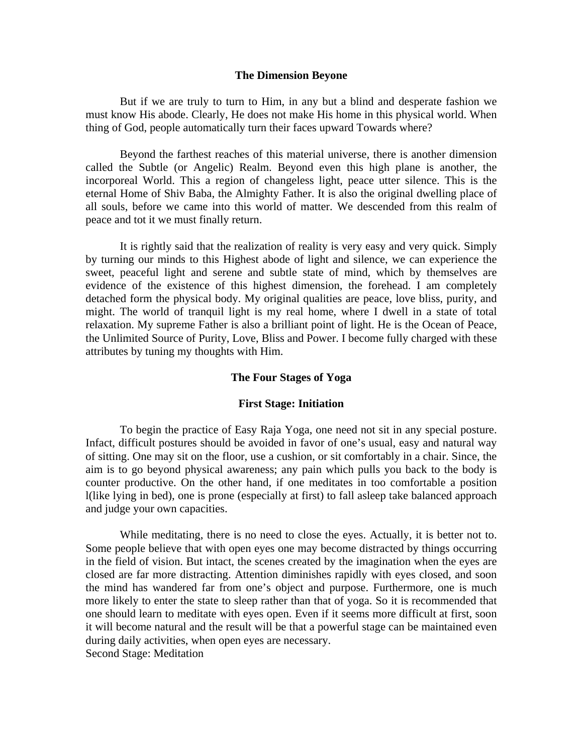#### **The Dimension Beyone**

But if we are truly to turn to Him, in any but a blind and desperate fashion we must know His abode. Clearly, He does not make His home in this physical world. When thing of God, people automatically turn their faces upward Towards where?

Beyond the farthest reaches of this material universe, there is another dimension called the Subtle (or Angelic) Realm. Beyond even this high plane is another, the incorporeal World. This a region of changeless light, peace utter silence. This is the eternal Home of Shiv Baba, the Almighty Father. It is also the original dwelling place of all souls, before we came into this world of matter. We descended from this realm of peace and tot it we must finally return.

It is rightly said that the realization of reality is very easy and very quick. Simply by turning our minds to this Highest abode of light and silence, we can experience the sweet, peaceful light and serene and subtle state of mind, which by themselves are evidence of the existence of this highest dimension, the forehead. I am completely detached form the physical body. My original qualities are peace, love bliss, purity, and might. The world of tranquil light is my real home, where I dwell in a state of total relaxation. My supreme Father is also a brilliant point of light. He is the Ocean of Peace, the Unlimited Source of Purity, Love, Bliss and Power. I become fully charged with these attributes by tuning my thoughts with Him.

#### **The Four Stages of Yoga**

#### **First Stage: Initiation**

To begin the practice of Easy Raja Yoga, one need not sit in any special posture. Infact, difficult postures should be avoided in favor of one's usual, easy and natural way of sitting. One may sit on the floor, use a cushion, or sit comfortably in a chair. Since, the aim is to go beyond physical awareness; any pain which pulls you back to the body is counter productive. On the other hand, if one meditates in too comfortable a position l(like lying in bed), one is prone (especially at first) to fall asleep take balanced approach and judge your own capacities.

While meditating, there is no need to close the eyes. Actually, it is better not to. Some people believe that with open eyes one may become distracted by things occurring in the field of vision. But intact, the scenes created by the imagination when the eyes are closed are far more distracting. Attention diminishes rapidly with eyes closed, and soon the mind has wandered far from one's object and purpose. Furthermore, one is much more likely to enter the state to sleep rather than that of yoga. So it is recommended that one should learn to meditate with eyes open. Even if it seems more difficult at first, soon it will become natural and the result will be that a powerful stage can be maintained even during daily activities, when open eyes are necessary. Second Stage: Meditation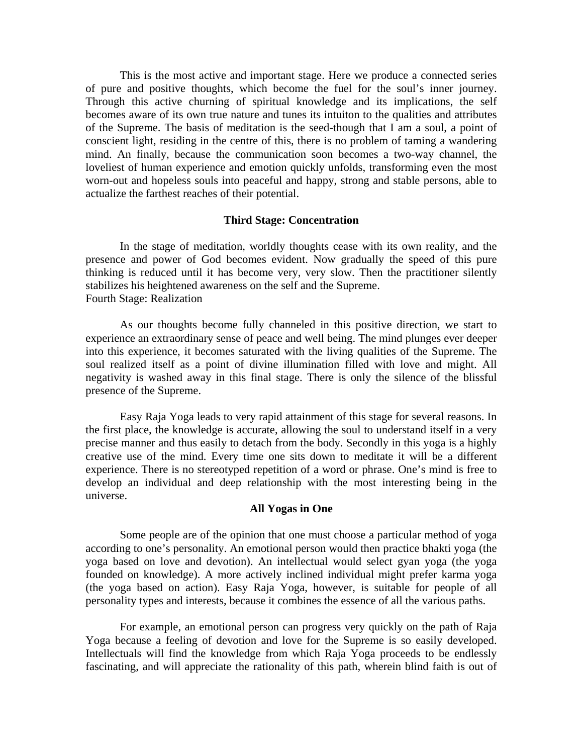This is the most active and important stage. Here we produce a connected series of pure and positive thoughts, which become the fuel for the soul's inner journey. Through this active churning of spiritual knowledge and its implications, the self becomes aware of its own true nature and tunes its intuiton to the qualities and attributes of the Supreme. The basis of meditation is the seed-though that I am a soul, a point of conscient light, residing in the centre of this, there is no problem of taming a wandering mind. An finally, because the communication soon becomes a two-way channel, the loveliest of human experience and emotion quickly unfolds, transforming even the most worn-out and hopeless souls into peaceful and happy, strong and stable persons, able to actualize the farthest reaches of their potential.

## **Third Stage: Concentration**

In the stage of meditation, worldly thoughts cease with its own reality, and the presence and power of God becomes evident. Now gradually the speed of this pure thinking is reduced until it has become very, very slow. Then the practitioner silently stabilizes his heightened awareness on the self and the Supreme. Fourth Stage: Realization

As our thoughts become fully channeled in this positive direction, we start to experience an extraordinary sense of peace and well being. The mind plunges ever deeper into this experience, it becomes saturated with the living qualities of the Supreme. The soul realized itself as a point of divine illumination filled with love and might. All negativity is washed away in this final stage. There is only the silence of the blissful presence of the Supreme.

Easy Raja Yoga leads to very rapid attainment of this stage for several reasons. In the first place, the knowledge is accurate, allowing the soul to understand itself in a very precise manner and thus easily to detach from the body. Secondly in this yoga is a highly creative use of the mind. Every time one sits down to meditate it will be a different experience. There is no stereotyped repetition of a word or phrase. One's mind is free to develop an individual and deep relationship with the most interesting being in the universe.

## **All Yogas in One**

Some people are of the opinion that one must choose a particular method of yoga according to one's personality. An emotional person would then practice bhakti yoga (the yoga based on love and devotion). An intellectual would select gyan yoga (the yoga founded on knowledge). A more actively inclined individual might prefer karma yoga (the yoga based on action). Easy Raja Yoga, however, is suitable for people of all personality types and interests, because it combines the essence of all the various paths.

For example, an emotional person can progress very quickly on the path of Raja Yoga because a feeling of devotion and love for the Supreme is so easily developed. Intellectuals will find the knowledge from which Raja Yoga proceeds to be endlessly fascinating, and will appreciate the rationality of this path, wherein blind faith is out of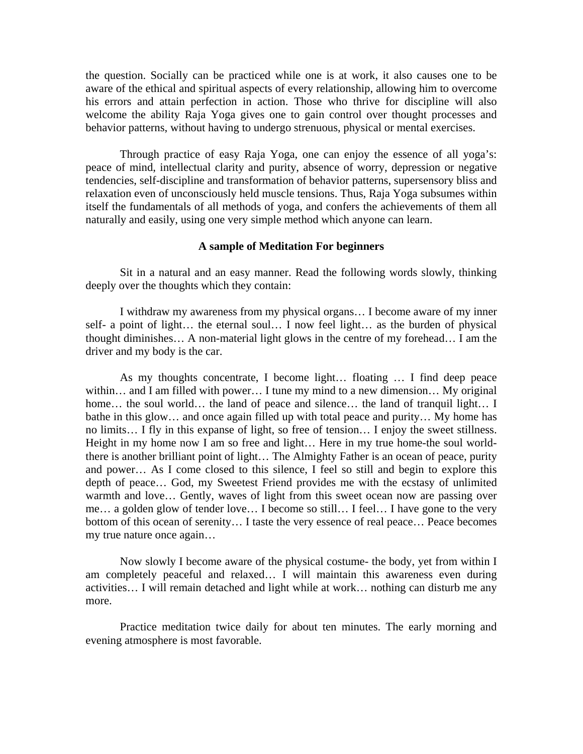the question. Socially can be practiced while one is at work, it also causes one to be aware of the ethical and spiritual aspects of every relationship, allowing him to overcome his errors and attain perfection in action. Those who thrive for discipline will also welcome the ability Raja Yoga gives one to gain control over thought processes and behavior patterns, without having to undergo strenuous, physical or mental exercises.

Through practice of easy Raja Yoga, one can enjoy the essence of all yoga's: peace of mind, intellectual clarity and purity, absence of worry, depression or negative tendencies, self-discipline and transformation of behavior patterns, supersensory bliss and relaxation even of unconsciously held muscle tensions. Thus, Raja Yoga subsumes within itself the fundamentals of all methods of yoga, and confers the achievements of them all naturally and easily, using one very simple method which anyone can learn.

#### **A sample of Meditation For beginners**

Sit in a natural and an easy manner. Read the following words slowly, thinking deeply over the thoughts which they contain:

I withdraw my awareness from my physical organs… I become aware of my inner self- a point of light… the eternal soul… I now feel light… as the burden of physical thought diminishes… A non-material light glows in the centre of my forehead… I am the driver and my body is the car.

As my thoughts concentrate, I become light… floating … I find deep peace within… and I am filled with power… I tune my mind to a new dimension… My original home... the soul world… the land of peace and silence… the land of tranquil light... I bathe in this glow… and once again filled up with total peace and purity… My home has no limits… I fly in this expanse of light, so free of tension… I enjoy the sweet stillness. Height in my home now I am so free and light… Here in my true home-the soul worldthere is another brilliant point of light… The Almighty Father is an ocean of peace, purity and power… As I come closed to this silence, I feel so still and begin to explore this depth of peace… God, my Sweetest Friend provides me with the ecstasy of unlimited warmth and love... Gently, waves of light from this sweet ocean now are passing over me… a golden glow of tender love… I become so still… I feel… I have gone to the very bottom of this ocean of serenity… I taste the very essence of real peace… Peace becomes my true nature once again…

Now slowly I become aware of the physical costume- the body, yet from within I am completely peaceful and relaxed… I will maintain this awareness even during activities… I will remain detached and light while at work… nothing can disturb me any more.

Practice meditation twice daily for about ten minutes. The early morning and evening atmosphere is most favorable.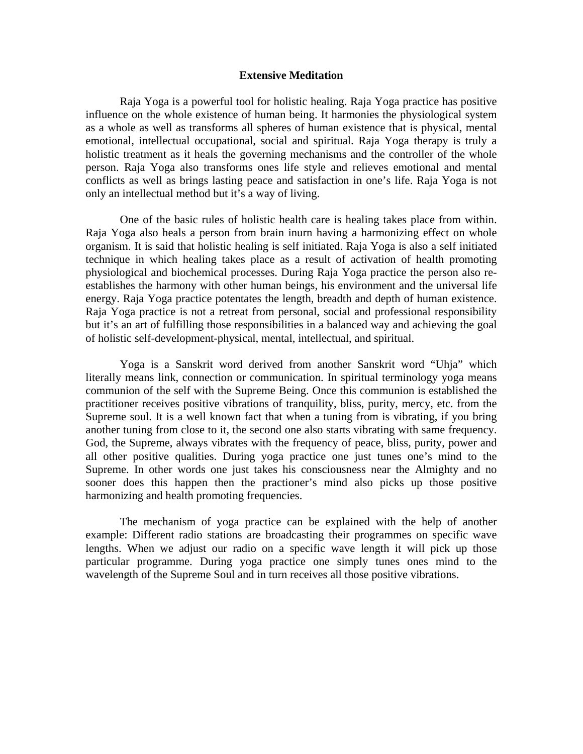#### **Extensive Meditation**

Raja Yoga is a powerful tool for holistic healing. Raja Yoga practice has positive influence on the whole existence of human being. It harmonies the physiological system as a whole as well as transforms all spheres of human existence that is physical, mental emotional, intellectual occupational, social and spiritual. Raja Yoga therapy is truly a holistic treatment as it heals the governing mechanisms and the controller of the whole person. Raja Yoga also transforms ones life style and relieves emotional and mental conflicts as well as brings lasting peace and satisfaction in one's life. Raja Yoga is not only an intellectual method but it's a way of living.

One of the basic rules of holistic health care is healing takes place from within. Raja Yoga also heals a person from brain inurn having a harmonizing effect on whole organism. It is said that holistic healing is self initiated. Raja Yoga is also a self initiated technique in which healing takes place as a result of activation of health promoting physiological and biochemical processes. During Raja Yoga practice the person also reestablishes the harmony with other human beings, his environment and the universal life energy. Raja Yoga practice potentates the length, breadth and depth of human existence. Raja Yoga practice is not a retreat from personal, social and professional responsibility but it's an art of fulfilling those responsibilities in a balanced way and achieving the goal of holistic self-development-physical, mental, intellectual, and spiritual.

Yoga is a Sanskrit word derived from another Sanskrit word "Uhja" which literally means link, connection or communication. In spiritual terminology yoga means communion of the self with the Supreme Being. Once this communion is established the practitioner receives positive vibrations of tranquility, bliss, purity, mercy, etc. from the Supreme soul. It is a well known fact that when a tuning from is vibrating, if you bring another tuning from close to it, the second one also starts vibrating with same frequency. God, the Supreme, always vibrates with the frequency of peace, bliss, purity, power and all other positive qualities. During yoga practice one just tunes one's mind to the Supreme. In other words one just takes his consciousness near the Almighty and no sooner does this happen then the practioner's mind also picks up those positive harmonizing and health promoting frequencies.

The mechanism of yoga practice can be explained with the help of another example: Different radio stations are broadcasting their programmes on specific wave lengths. When we adjust our radio on a specific wave length it will pick up those particular programme. During yoga practice one simply tunes ones mind to the wavelength of the Supreme Soul and in turn receives all those positive vibrations.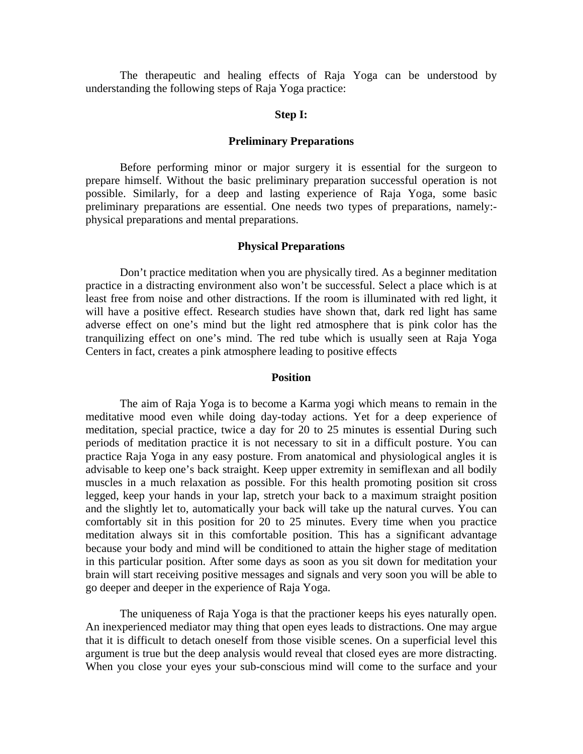The therapeutic and healing effects of Raja Yoga can be understood by understanding the following steps of Raja Yoga practice:

### **Step I:**

#### **Preliminary Preparations**

Before performing minor or major surgery it is essential for the surgeon to prepare himself. Without the basic preliminary preparation successful operation is not possible. Similarly, for a deep and lasting experience of Raja Yoga, some basic preliminary preparations are essential. One needs two types of preparations, namely: physical preparations and mental preparations.

## **Physical Preparations**

Don't practice meditation when you are physically tired. As a beginner meditation practice in a distracting environment also won't be successful. Select a place which is at least free from noise and other distractions. If the room is illuminated with red light, it will have a positive effect. Research studies have shown that, dark red light has same adverse effect on one's mind but the light red atmosphere that is pink color has the tranquilizing effect on one's mind. The red tube which is usually seen at Raja Yoga Centers in fact, creates a pink atmosphere leading to positive effects

#### **Position**

The aim of Raja Yoga is to become a Karma yogi which means to remain in the meditative mood even while doing day-today actions. Yet for a deep experience of meditation, special practice, twice a day for 20 to 25 minutes is essential During such periods of meditation practice it is not necessary to sit in a difficult posture. You can practice Raja Yoga in any easy posture. From anatomical and physiological angles it is advisable to keep one's back straight. Keep upper extremity in semiflexan and all bodily muscles in a much relaxation as possible. For this health promoting position sit cross legged, keep your hands in your lap, stretch your back to a maximum straight position and the slightly let to, automatically your back will take up the natural curves. You can comfortably sit in this position for 20 to 25 minutes. Every time when you practice meditation always sit in this comfortable position. This has a significant advantage because your body and mind will be conditioned to attain the higher stage of meditation in this particular position. After some days as soon as you sit down for meditation your brain will start receiving positive messages and signals and very soon you will be able to go deeper and deeper in the experience of Raja Yoga.

The uniqueness of Raja Yoga is that the practioner keeps his eyes naturally open. An inexperienced mediator may thing that open eyes leads to distractions. One may argue that it is difficult to detach oneself from those visible scenes. On a superficial level this argument is true but the deep analysis would reveal that closed eyes are more distracting. When you close your eyes your sub-conscious mind will come to the surface and your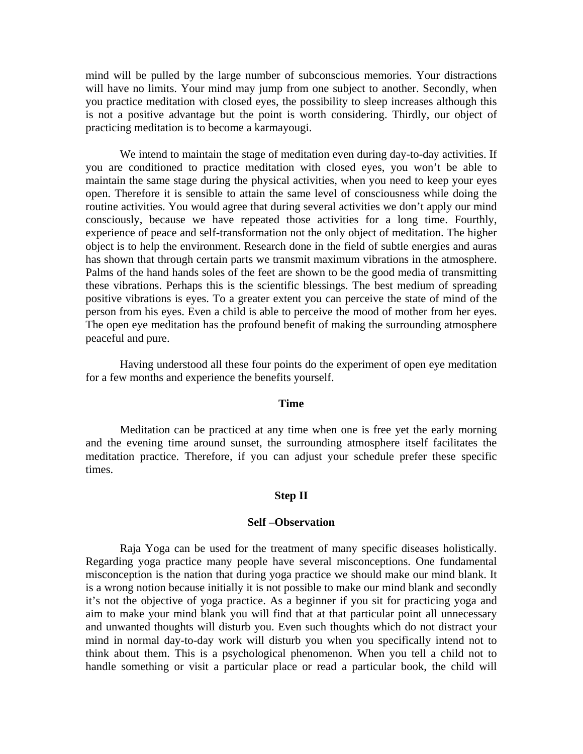mind will be pulled by the large number of subconscious memories. Your distractions will have no limits. Your mind may jump from one subject to another. Secondly, when you practice meditation with closed eyes, the possibility to sleep increases although this is not a positive advantage but the point is worth considering. Thirdly, our object of practicing meditation is to become a karmayougi.

We intend to maintain the stage of meditation even during day-to-day activities. If you are conditioned to practice meditation with closed eyes, you won't be able to maintain the same stage during the physical activities, when you need to keep your eyes open. Therefore it is sensible to attain the same level of consciousness while doing the routine activities. You would agree that during several activities we don't apply our mind consciously, because we have repeated those activities for a long time. Fourthly, experience of peace and self-transformation not the only object of meditation. The higher object is to help the environment. Research done in the field of subtle energies and auras has shown that through certain parts we transmit maximum vibrations in the atmosphere. Palms of the hand hands soles of the feet are shown to be the good media of transmitting these vibrations. Perhaps this is the scientific blessings. The best medium of spreading positive vibrations is eyes. To a greater extent you can perceive the state of mind of the person from his eyes. Even a child is able to perceive the mood of mother from her eyes. The open eye meditation has the profound benefit of making the surrounding atmosphere peaceful and pure.

Having understood all these four points do the experiment of open eye meditation for a few months and experience the benefits yourself.

## **Time**

Meditation can be practiced at any time when one is free yet the early morning and the evening time around sunset, the surrounding atmosphere itself facilitates the meditation practice. Therefore, if you can adjust your schedule prefer these specific times.

#### **Step II**

#### **Self –Observation**

Raja Yoga can be used for the treatment of many specific diseases holistically. Regarding yoga practice many people have several misconceptions. One fundamental misconception is the nation that during yoga practice we should make our mind blank. It is a wrong notion because initially it is not possible to make our mind blank and secondly it's not the objective of yoga practice. As a beginner if you sit for practicing yoga and aim to make your mind blank you will find that at that particular point all unnecessary and unwanted thoughts will disturb you. Even such thoughts which do not distract your mind in normal day-to-day work will disturb you when you specifically intend not to think about them. This is a psychological phenomenon. When you tell a child not to handle something or visit a particular place or read a particular book, the child will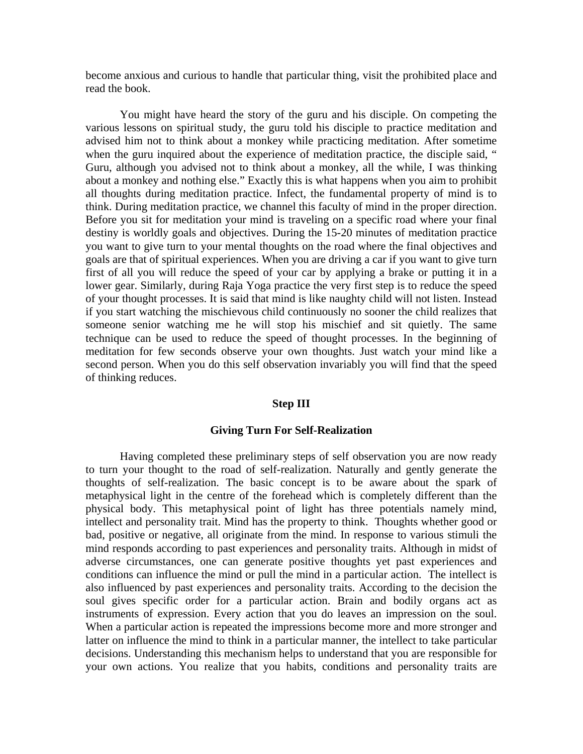become anxious and curious to handle that particular thing, visit the prohibited place and read the book.

You might have heard the story of the guru and his disciple. On competing the various lessons on spiritual study, the guru told his disciple to practice meditation and advised him not to think about a monkey while practicing meditation. After sometime when the guru inquired about the experience of meditation practice, the disciple said, " Guru, although you advised not to think about a monkey, all the while, I was thinking about a monkey and nothing else." Exactly this is what happens when you aim to prohibit all thoughts during meditation practice. Infect, the fundamental property of mind is to think. During meditation practice, we channel this faculty of mind in the proper direction. Before you sit for meditation your mind is traveling on a specific road where your final destiny is worldly goals and objectives. During the 15-20 minutes of meditation practice you want to give turn to your mental thoughts on the road where the final objectives and goals are that of spiritual experiences. When you are driving a car if you want to give turn first of all you will reduce the speed of your car by applying a brake or putting it in a lower gear. Similarly, during Raja Yoga practice the very first step is to reduce the speed of your thought processes. It is said that mind is like naughty child will not listen. Instead if you start watching the mischievous child continuously no sooner the child realizes that someone senior watching me he will stop his mischief and sit quietly. The same technique can be used to reduce the speed of thought processes. In the beginning of meditation for few seconds observe your own thoughts. Just watch your mind like a second person. When you do this self observation invariably you will find that the speed of thinking reduces.

## **Step III**

#### **Giving Turn For Self-Realization**

Having completed these preliminary steps of self observation you are now ready to turn your thought to the road of self-realization. Naturally and gently generate the thoughts of self-realization. The basic concept is to be aware about the spark of metaphysical light in the centre of the forehead which is completely different than the physical body. This metaphysical point of light has three potentials namely mind, intellect and personality trait. Mind has the property to think. Thoughts whether good or bad, positive or negative, all originate from the mind. In response to various stimuli the mind responds according to past experiences and personality traits. Although in midst of adverse circumstances, one can generate positive thoughts yet past experiences and conditions can influence the mind or pull the mind in a particular action. The intellect is also influenced by past experiences and personality traits. According to the decision the soul gives specific order for a particular action. Brain and bodily organs act as instruments of expression. Every action that you do leaves an impression on the soul. When a particular action is repeated the impressions become more and more stronger and latter on influence the mind to think in a particular manner, the intellect to take particular decisions. Understanding this mechanism helps to understand that you are responsible for your own actions. You realize that you habits, conditions and personality traits are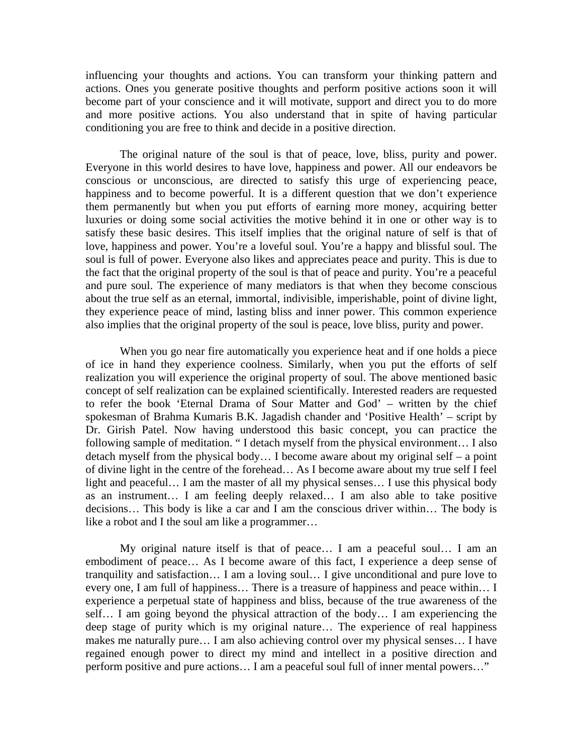influencing your thoughts and actions. You can transform your thinking pattern and actions. Ones you generate positive thoughts and perform positive actions soon it will become part of your conscience and it will motivate, support and direct you to do more and more positive actions. You also understand that in spite of having particular conditioning you are free to think and decide in a positive direction.

The original nature of the soul is that of peace, love, bliss, purity and power. Everyone in this world desires to have love, happiness and power. All our endeavors be conscious or unconscious, are directed to satisfy this urge of experiencing peace, happiness and to become powerful. It is a different question that we don't experience them permanently but when you put efforts of earning more money, acquiring better luxuries or doing some social activities the motive behind it in one or other way is to satisfy these basic desires. This itself implies that the original nature of self is that of love, happiness and power. You're a loveful soul. You're a happy and blissful soul. The soul is full of power. Everyone also likes and appreciates peace and purity. This is due to the fact that the original property of the soul is that of peace and purity. You're a peaceful and pure soul. The experience of many mediators is that when they become conscious about the true self as an eternal, immortal, indivisible, imperishable, point of divine light, they experience peace of mind, lasting bliss and inner power. This common experience also implies that the original property of the soul is peace, love bliss, purity and power.

When you go near fire automatically you experience heat and if one holds a piece of ice in hand they experience coolness. Similarly, when you put the efforts of self realization you will experience the original property of soul. The above mentioned basic concept of self realization can be explained scientifically. Interested readers are requested to refer the book 'Eternal Drama of Sour Matter and God' – written by the chief spokesman of Brahma Kumaris B.K. Jagadish chander and 'Positive Health' – script by Dr. Girish Patel. Now having understood this basic concept, you can practice the following sample of meditation. " I detach myself from the physical environment… I also detach myself from the physical body… I become aware about my original self – a point of divine light in the centre of the forehead… As I become aware about my true self I feel light and peaceful… I am the master of all my physical senses… I use this physical body as an instrument… I am feeling deeply relaxed… I am also able to take positive decisions… This body is like a car and I am the conscious driver within… The body is like a robot and I the soul am like a programmer…

My original nature itself is that of peace… I am a peaceful soul… I am an embodiment of peace… As I become aware of this fact, I experience a deep sense of tranquility and satisfaction… I am a loving soul… I give unconditional and pure love to every one, I am full of happiness… There is a treasure of happiness and peace within… I experience a perpetual state of happiness and bliss, because of the true awareness of the self… I am going beyond the physical attraction of the body… I am experiencing the deep stage of purity which is my original nature… The experience of real happiness makes me naturally pure… I am also achieving control over my physical senses… I have regained enough power to direct my mind and intellect in a positive direction and perform positive and pure actions… I am a peaceful soul full of inner mental powers…"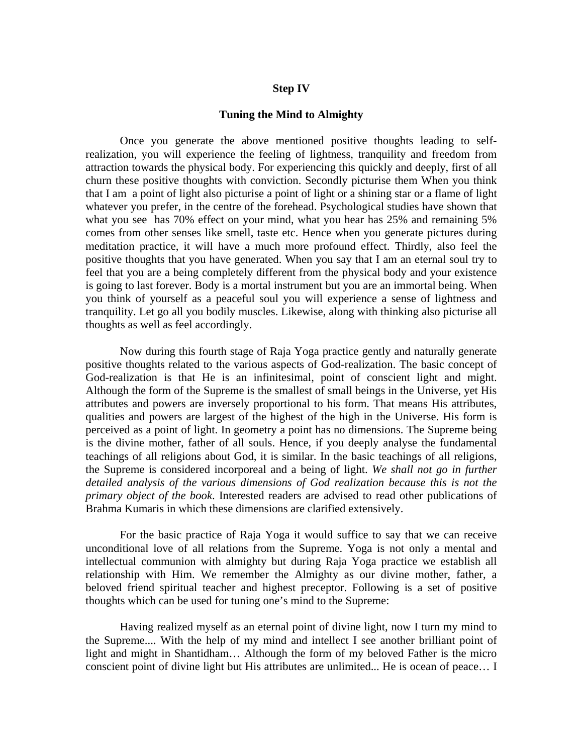## **Step IV**

#### **Tuning the Mind to Almighty**

Once you generate the above mentioned positive thoughts leading to selfrealization, you will experience the feeling of lightness, tranquility and freedom from attraction towards the physical body. For experiencing this quickly and deeply, first of all churn these positive thoughts with conviction. Secondly picturise them When you think that I am a point of light also picturise a point of light or a shining star or a flame of light whatever you prefer, in the centre of the forehead. Psychological studies have shown that what you see has 70% effect on your mind, what you hear has 25% and remaining 5% comes from other senses like smell, taste etc. Hence when you generate pictures during meditation practice, it will have a much more profound effect. Thirdly, also feel the positive thoughts that you have generated. When you say that I am an eternal soul try to feel that you are a being completely different from the physical body and your existence is going to last forever. Body is a mortal instrument but you are an immortal being. When you think of yourself as a peaceful soul you will experience a sense of lightness and tranquility. Let go all you bodily muscles. Likewise, along with thinking also picturise all thoughts as well as feel accordingly.

Now during this fourth stage of Raja Yoga practice gently and naturally generate positive thoughts related to the various aspects of God-realization. The basic concept of God-realization is that He is an infinitesimal, point of conscient light and might. Although the form of the Supreme is the smallest of small beings in the Universe, yet His attributes and powers are inversely proportional to his form. That means His attributes, qualities and powers are largest of the highest of the high in the Universe. His form is perceived as a point of light. In geometry a point has no dimensions. The Supreme being is the divine mother, father of all souls. Hence, if you deeply analyse the fundamental teachings of all religions about God, it is similar. In the basic teachings of all religions, the Supreme is considered incorporeal and a being of light. *We shall not go in further detailed analysis of the various dimensions of God realization because this is not the primary object of the book*. Interested readers are advised to read other publications of Brahma Kumaris in which these dimensions are clarified extensively.

For the basic practice of Raja Yoga it would suffice to say that we can receive unconditional love of all relations from the Supreme. Yoga is not only a mental and intellectual communion with almighty but during Raja Yoga practice we establish all relationship with Him. We remember the Almighty as our divine mother, father, a beloved friend spiritual teacher and highest preceptor. Following is a set of positive thoughts which can be used for tuning one's mind to the Supreme:

Having realized myself as an eternal point of divine light, now I turn my mind to the Supreme.... With the help of my mind and intellect I see another brilliant point of light and might in Shantidham… Although the form of my beloved Father is the micro conscient point of divine light but His attributes are unlimited... He is ocean of peace… I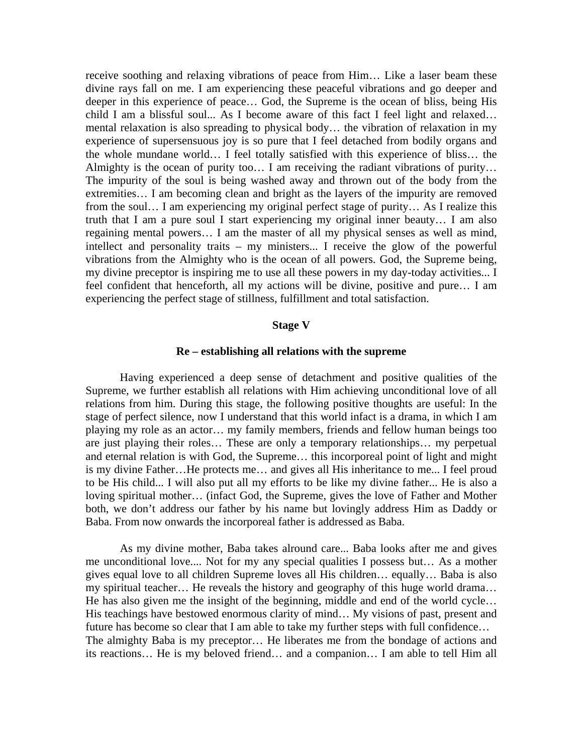receive soothing and relaxing vibrations of peace from Him… Like a laser beam these divine rays fall on me. I am experiencing these peaceful vibrations and go deeper and deeper in this experience of peace… God, the Supreme is the ocean of bliss, being His child I am a blissful soul... As I become aware of this fact I feel light and relaxed… mental relaxation is also spreading to physical body… the vibration of relaxation in my experience of supersensuous joy is so pure that I feel detached from bodily organs and the whole mundane world… I feel totally satisfied with this experience of bliss… the Almighty is the ocean of purity too… I am receiving the radiant vibrations of purity… The impurity of the soul is being washed away and thrown out of the body from the extremities… I am becoming clean and bright as the layers of the impurity are removed from the soul… I am experiencing my original perfect stage of purity… As I realize this truth that I am a pure soul I start experiencing my original inner beauty… I am also regaining mental powers… I am the master of all my physical senses as well as mind, intellect and personality traits – my ministers... I receive the glow of the powerful vibrations from the Almighty who is the ocean of all powers. God, the Supreme being, my divine preceptor is inspiring me to use all these powers in my day-today activities... I feel confident that henceforth, all my actions will be divine, positive and pure… I am experiencing the perfect stage of stillness, fulfillment and total satisfaction.

## **Stage V**

#### **Re – establishing all relations with the supreme**

Having experienced a deep sense of detachment and positive qualities of the Supreme, we further establish all relations with Him achieving unconditional love of all relations from him. During this stage, the following positive thoughts are useful: In the stage of perfect silence, now I understand that this world infact is a drama, in which I am playing my role as an actor… my family members, friends and fellow human beings too are just playing their roles… These are only a temporary relationships… my perpetual and eternal relation is with God, the Supreme… this incorporeal point of light and might is my divine Father…He protects me… and gives all His inheritance to me... I feel proud to be His child... I will also put all my efforts to be like my divine father... He is also a loving spiritual mother… (infact God, the Supreme, gives the love of Father and Mother both, we don't address our father by his name but lovingly address Him as Daddy or Baba. From now onwards the incorporeal father is addressed as Baba.

As my divine mother, Baba takes alround care... Baba looks after me and gives me unconditional love.... Not for my any special qualities I possess but… As a mother gives equal love to all children Supreme loves all His children… equally… Baba is also my spiritual teacher… He reveals the history and geography of this huge world drama… He has also given me the insight of the beginning, middle and end of the world cycle… His teachings have bestowed enormous clarity of mind... My visions of past, present and future has become so clear that I am able to take my further steps with full confidence… The almighty Baba is my preceptor… He liberates me from the bondage of actions and its reactions… He is my beloved friend… and a companion… I am able to tell Him all